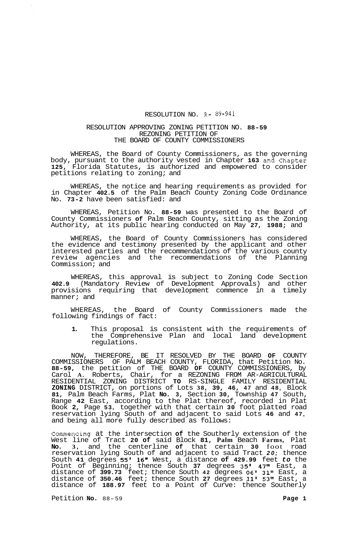## RESOLUTION NO. R- 89-941

## RESOLUTION APPROVING ZONING PETITION NO. **88-59**  REZONING PETITION OF THE BOARD OF COUNTY COMMISSIONERS

WHEREAS, the Board of County Commissioners, as the governing body, pursuant to the authority vested in Chapter **163** and Chapter **125,** Florida Statutes, is authorized and empowered to consider petitions relating to zoning; and

WHEREAS, the notice and hearing requirements as provided for in Chapter **402.5** of the Palm Beach County Zoning Code Ordinance No. **73-2** have been satisfied: and

WHEREAS, Petition No. **88-59** was presented to the Board of County Commissioners **of** Palm Beach County, sitting as the Zoning Authority, at its public hearing conducted on May **27, 1988;** and

WHEREAS, the Board of County Commissioners has considered the evidence and testimony presented by the applicant and other interested parties and the recommendations of the various county review agencies and the recommendations of the Planning Commission; and

WHEREAS, this approval is subject to Zoning Code Section **402.9** (Mandatory Review of Development Approvals) and other provisions requiring that development commence in a timely manner; and

WHEREAS, the Board of County Commissioners made the following findings of fact:

**1.** This proposal is consistent with the requirements of the Comprehensive Plan and local land development regulations.

NOW, THEREFORE, BE IT RESOLVED BY THE BOARD **OF** COUNTY COMMISSIONERS OF PALM BEACH COUNTY, FLORIDA, that Petition No. **88-59,** the petition of THE BOARD **OF** COUNTY COMMISSIONERS, by Carol **A.** Roberts, Chair, for a REZONING FROM AR-AGRICULTURAL RESIDENTIAL ZONING DISTRICT **TO** RS-SINGLE FAMILY RESIDENTIAL **ZONING** DISTRICT, on portions of Lots **38, 39, 46, 47** and **48,** Block **81,** Palm Beach Farms, Plat **No. 3,** Section **30,** Township **47** South, Range **42** East, according to the Plat thereof, recorded in Plat Book **2,** Page **53,** together with that certain **30** foot platted road reservation lying South of and adjacent to said Lots **46** and **47,**  and being all more fully described as follows:

Commencing at the intersection **of** the Southerly extension of the West line of Tract **20 of** said Block **81, Palm** Beach **Farms,** Plat **No. 3,** and the centerline **of** that certain **30** foot road reservation lying South of and adjacent to said Tract *20;* thence South **41** degrees **55' 16"** West, a distance **of 429.99** feet *to* the Point of Beginning; thence South **37** degrees **35' 47"** East, a distance of **399.73** feet; thence South **42** degrees *06'* **31''** East, a distance of **350.46** feet; thence South **27** degrees **11' 53''** East, a distance of **188.97** feet to a Point of Curve: thence Southerly

Petition **No.** 88-59 **Page 1 Page 1**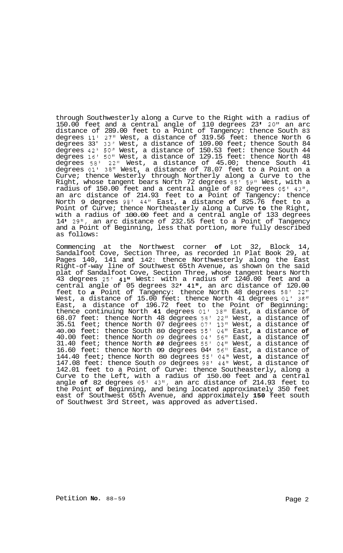through Southwesterly along a Curve to the Right with a radius of 150.00 feet and a central angle of 110 degrees 23' 20" an arc distance of 289.00 feet to a Point of Tangency: thence South 83 degrees **11'** 27" West, a distance of 319.56 feet: thence North 6 degrees 33' 33" West, a distance of 109.00 feet; thence South 84 degrees 42' 50" West, a distance of 150.53 feet: thence South 44 degrees 16' 50" West, a distance of 129.15 feet: thence North 48 degrees 58' 22" West, a distance of 45.00; thence South 41 degrees 01' 38" West, a distance of 78.07 feet to a Point on a Curve; thence Westerly through Northerly along a Curve to the Right, whose tangent bears North 72 degrees 85' 59" West, with a radius of 150.00 feet and a central angle of 82 degrees *05'* 43", an arc distance of 214.93 feet to *a* Point of Tangency: thence North 9 degrees 98' 44" East, **a** distance **of** 825.76 feet to a Point of Curve; thence Northeasterly along a Curve **to** the Right, with a radius of 100.00 feet and a central angle of 133 degrees 14 29", an arc distance of 232.55 feet to a Point of Tangency and a Point of Beginning, less that portion, more fully described as follows:

Commencing at the Northwest corner **of** Lot 32, Block 14, Sandalfoot Cove, Section Three, as recorded in Plat Book 29, at Pages 140, 141 and 142: thence Northwesterly along the East Right-of-way line of Southwest 65th Avenue, as shown on the said plat of Sandalfoot Cove, Section Three, whose tangent bears North 43 degrees 25' 41" West: with a radius of 1240.00 feet and a central angle of 05 degrees  $32'$   $41''$ , an arc distance of  $120.00$ feet to *a* Point of Tangency: thence North 48 degrees 58' 22'' West, a distance of 15.00 feet: thence North 41 degrees **01'** 38" East, a distance of 196.72 feet to the Point of Beginning: thence continuing North **41** degrees 01' 38" East, a distance of 68.07 feet: thence North 48 degrees 58' 22" West, a distance of 35.51 feet; thence North 07 degrees 07' 13" West, a distance of 40.00 feet: thence South 80 degrees 55' 04" East, **a** distance **of**  40.00 feet: thence North *09* degrees 04' 56" East, a distance of 31.40 feet; thence North *80* degrees 55' 04" West, a distance of 16.60 feet: thence North 09 degrees 04' 56" East, a distance of 144.40 feet; thence North 80 degrees 55' 04" West, **a** distance of 147.08 feet: thence South *09* degrees 98' 44" West, a distance of 142.01 feet to a Point of Curve: thence Southeasterly, along a Curve to the Left, with a radius of 150.00 feet and a central angle **of** 82 degrees *05'* 43", an arc distance of 214.93 feet to the Point **of** Beginning, and being located approximately 350 feet east of Southwest 65th Avenue, and approximately **150** feet south of Southwest 3rd Street, was approved as advertised.